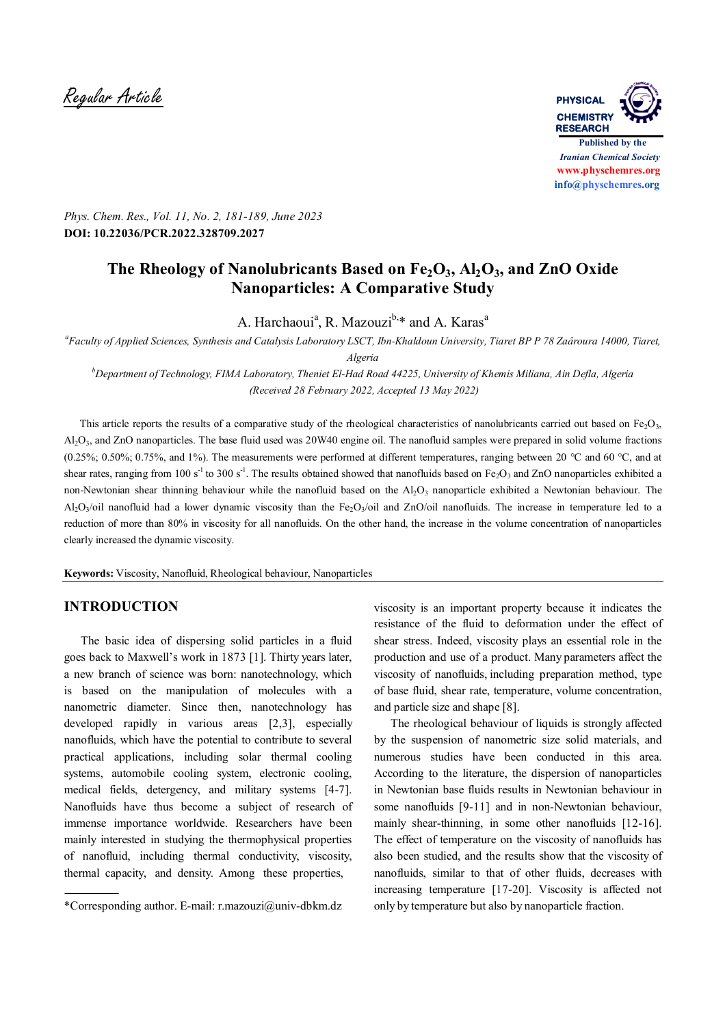Regular Article **PHYSICAL**



*Phys. Chem. Res., Vol. 11, No. 2, 181-189, June 2023* **DOI: 10.22036/PCR.2022.328709.2027**

# **The Rheology of Nanolubricants Based on Fe2O3, Al2O3, and ZnO Oxide Nanoparticles: A Comparative Study**

A. Harchaoui<sup>a</sup>, R. Mazouzi<sup>b,\*</sup> and A. Karas<sup>a</sup>

*a Faculty of Applied Sciences, Synthesis and Catalysis Laboratory LSCT, Ibn-Khaldoun University, Tiaret BP P 78 Zaâroura 14000, Tiaret, Algeria*

*<sup>b</sup>Department of Technology, FIMA Laboratory, Theniet El-Had Road 44225, University of Khemis Miliana, Ain Defla, Algeria (Received 28 February 2022, Accepted 13 May 2022)*

This article reports the results of a comparative study of the rheological characteristics of nanolubricants carried out based on Fe $\Omega_{3}$ , Al<sub>2</sub>O<sub>3</sub>, and ZnO nanoparticles. The base fluid used was 20W40 engine oil. The nanofluid samples were prepared in solid volume fractions (0.25%; 0.50%; 0.75%, and 1%). The measurements were performed at different temperatures, ranging between 20 °C and 60 °C, and at shear rates, ranging from 100 s<sup>-1</sup> to 300 s<sup>-1</sup>. The results obtained showed that nanofluids based on Fe<sub>2</sub>O<sub>3</sub> and ZnO nanoparticles exhibited a non-Newtonian shear thinning behaviour while the nanofluid based on the  $Al_2O_3$  nanoparticle exhibited a Newtonian behaviour. The Al<sub>2</sub>O<sub>3</sub>/oil nanofluid had a lower dynamic viscosity than the Fe<sub>2</sub>O<sub>3</sub>/oil and ZnO/oil nanofluids. The increase in temperature led to a reduction of more than 80% in viscosity for all nanofluids. On the other hand, the increase in the volume concentration of nanoparticles clearly increased the dynamic viscosity.

**Keywords:** Viscosity, Nanofluid, Rheological behaviour, Nanoparticles

## **INTRODUCTION**

The basic idea of dispersing solid particles in a fluid goes back to Maxwell's work in 1873 [1]. Thirty years later, a new branch of science was born: nanotechnology, which is based on the manipulation of molecules with a nanometric diameter. Since then, nanotechnology has developed rapidly in various areas [2,3], especially nanofluids, which have the potential to contribute to several practical applications, including solar thermal cooling systems, automobile cooling system, electronic cooling, medical fields, detergency, and military systems [4-7]. Nanofluids have thus become a subject of research of immense importance worldwide. Researchers have been mainly interested in studying the thermophysical properties of nanofluid, including thermal conductivity, viscosity, thermal capacity, and density. Among these properties,

viscosity is an important property because it indicates the resistance of the fluid to deformation under the effect of shear stress. Indeed, viscosity plays an essential role in the production and use of a product. Many parameters affect the viscosity of nanofluids, including preparation method, type of base fluid, shear rate, temperature, volume concentration, and particle size and shape [8].

The rheological behaviour of liquids is strongly affected by the suspension of nanometric size solid materials, and numerous studies have been conducted in this area. According to the literature, the dispersion of nanoparticles in Newtonian base fluids results in Newtonian behaviour in some nanofluids [9-11] and in non-Newtonian behaviour. mainly shear-thinning, in some other nanofluids [12-16]. The effect of temperature on the viscosity of nanofluids has also been studied, and the results show that the viscosity of nanofluids, similar to that of other fluids, decreases with increasing temperature [17-20]. Viscosity is affected not only by temperature but also by nanoparticle fraction.

<sup>\*</sup>Corresponding author. E-mail: r.mazouzi@univ-dbkm.dz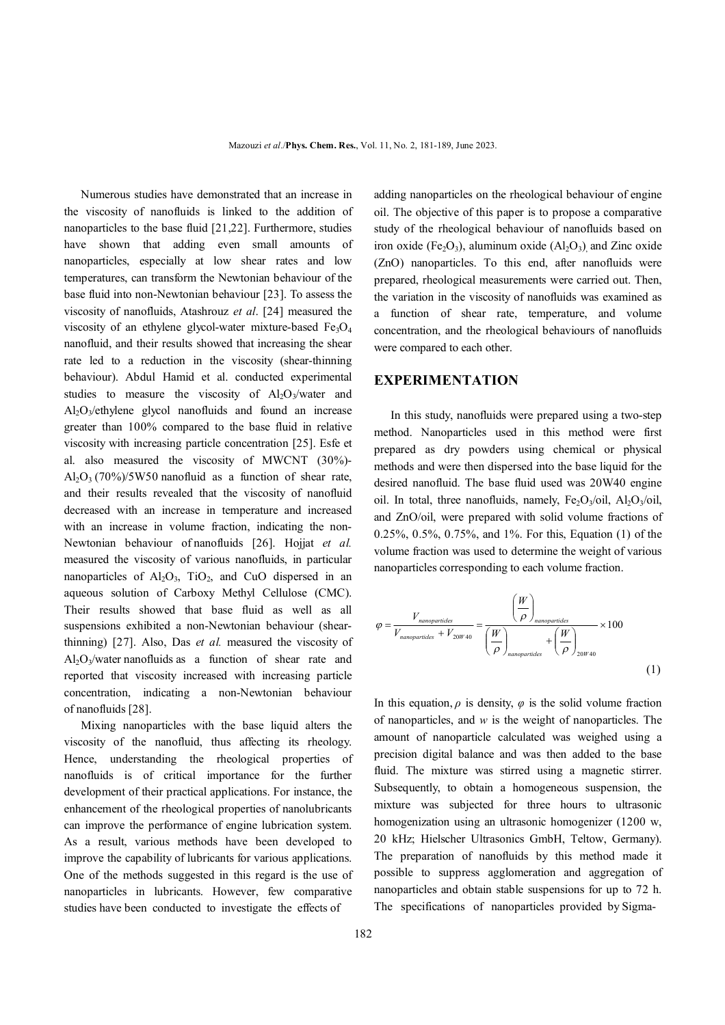Numerous studies have demonstrated that an increase in the viscosity of nanofluids is linked to the addition of nanoparticles to the base fluid [21,22]. Furthermore, studies have shown that adding even small amounts of nanoparticles, especially at low shear rates and low temperatures, can transform the Newtonian behaviour of the base fluid into non-Newtonian behaviour [23]. To assess the viscosity of nanofluids, Atashrouz *et al*. [24] measured the viscosity of an ethylene glycol-water mixture-based  $Fe<sub>3</sub>O<sub>4</sub>$ nanofluid, and their results showed that increasing the shear rate led to a reduction in the viscosity (shear-thinning behaviour). Abdul Hamid et al. conducted experimental studies to measure the viscosity of  $Al_2O_3/water$  and  $Al_2O_3$ /ethylene glycol nanofluids and found an increase greater than 100% compared to the base fluid in relative viscosity with increasing particle concentration [25]. Esfe et al. also measured the viscosity of MWCNT (30%)-  $Al_2O_3$  (70%)/5W50 nanofluid as a function of shear rate, and their results revealed that the viscosity of nanofluid decreased with an increase in temperature and increased with an increase in volume fraction, indicating the non-Newtonian behaviour of nanofluids [26]. Hojiat *et al.* measured the viscosity of various nanofluids, in particular nanoparticles of  $Al_2O_3$ ,  $TiO_2$ , and CuO dispersed in an aqueous solution of Carboxy Methyl Cellulose (CMC). Their results showed that base fluid as well as all suspensions exhibited a non-Newtonian behaviour (shearthinning) [27]. Also, Das *et al.* measured the viscosity of Al<sub>2</sub>O<sub>3</sub>/water nanofluids as a function of shear rate and reported that viscosity increased with increasing particle concentration, indicating a non-Newtonian behaviour of nanofluids [28].

 Mixing nanoparticles with the base liquid alters the viscosity of the nanofluid, thus affecting its rheology. Hence, understanding the rheological properties of nanofluids is of critical importance for the further development of their practical applications. For instance, the enhancement of the rheological properties of nanolubricants can improve the performance of engine lubrication system. As a result, various methods have been developed to improve the capability of lubricants for various applications. One of the methods suggested in this regard is the use of nanoparticles in lubricants. However, few comparative studies have been conducted to investigate the effects of

adding nanoparticles on the rheological behaviour of engine oil. The objective of this paper is to propose a comparative study of the rheological behaviour of nanofluids based on iron oxide (Fe<sub>2</sub>O<sub>3</sub>), aluminum oxide (Al<sub>2</sub>O<sub>3</sub>) and Zinc oxide (ZnO) nanoparticles. To this end, after nanofluids were prepared, rheological measurements were carried out. Then, the variation in the viscosity of nanofluids was examined as a function of shear rate, temperature, and volume concentration, and the rheological behaviours of nanofluids were compared to each other.

### **EXPERIMENTATION**

In this study, nanofluids were prepared using a two-step method. Nanoparticles used in this method were first prepared as dry powders using chemical or physical methods and were then dispersed into the base liquid for the desired nanofluid. The base fluid used was 20W40 engine oil. In total, three nanofluids, namely,  $Fe<sub>2</sub>O<sub>3</sub>/oil$ ,  $Al<sub>2</sub>O<sub>3</sub>/oil$ , and ZnO/oil, were prepared with solid volume fractions of 0.25%, 0.5%, 0.75%, and 1%. For this, Equation (1) of the volume fraction was used to determine the weight of various nanoparticles corresponding to each volume fraction.

$$
\varphi = \frac{V_{nanoparticles}}{V_{nanoparticles} + V_{20W40}} = \frac{\left(\frac{W}{\rho}\right)_{nanoparticles}}{\left(\frac{W}{\rho}\right)_{nanoparticles}} \times 100
$$
\n(1)

In this equation,  $\rho$  is density,  $\varphi$  is the solid volume fraction of nanoparticles, and *w* is the weight of nanoparticles. The amount of nanoparticle calculated was weighed using a precision digital balance and was then added to the base fluid. The mixture was stirred using a magnetic stirrer. Subsequently, to obtain a homogeneous suspension, the mixture was subjected for three hours to ultrasonic homogenization using an ultrasonic homogenizer (1200 w, 20 kHz; Hielscher Ultrasonics GmbH, Teltow, Germany). The preparation of nanofluids by this method made it possible to suppress agglomeration and aggregation of nanoparticles and obtain stable suspensions for up to 72 h. The specifications of nanoparticles provided by Sigma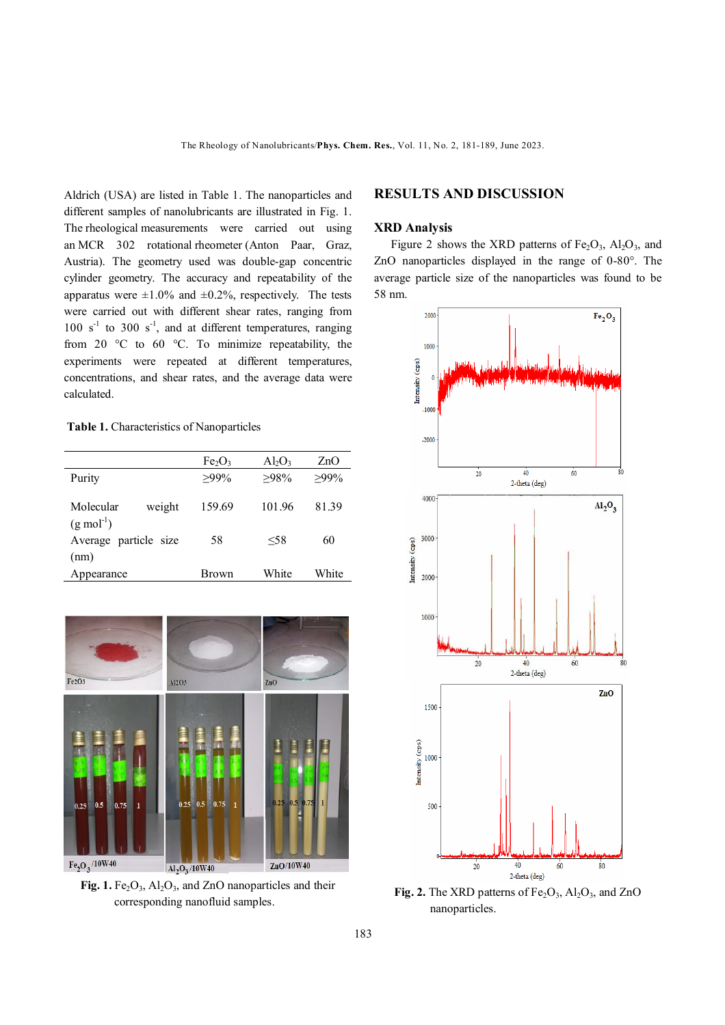Aldrich (USA) are listed in Table 1. The nanoparticles and different samples of nanolubricants are illustrated in Fig. 1. The rheological measurements were carried out using an MCR 302 rotational rheometer (Anton Paar, Graz, Austria). The geometry used was double-gap concentric cylinder geometry. The accuracy and repeatability of the apparatus were  $\pm 1.0\%$  and  $\pm 0.2\%$ , respectively. The tests were carried out with different shear rates, ranging from  $100 \text{ s}^{-1}$  to  $300 \text{ s}^{-1}$ , and at different temperatures, ranging from 20 °C to 60 °C. To minimize repeatability, the experiments were repeated at different temperatures, concentrations, and shear rates, and the average data were calculated.

#### **Table 1.** Characteristics of Nanoparticles

|                       | Fe <sub>2</sub> O <sub>3</sub> | $Al_2O_3$ | ZnO     |  |
|-----------------------|--------------------------------|-----------|---------|--|
| Purity                | $>99\%$                        | $>98\%$   | $>99\%$ |  |
|                       |                                |           |         |  |
| Molecular<br>weight   | 159.69                         | 101.96    | 81.39   |  |
| $(g \mod^{-1})$       |                                |           |         |  |
| Average particle size | $<$ 58<br>58                   |           | 60      |  |
| (nm)                  |                                |           |         |  |
| Appearance            | Brown                          | White     | White   |  |



**Fig. 1.**  $Fe<sub>2</sub>O<sub>3</sub>$ ,  $Al<sub>2</sub>O<sub>3</sub>$ , and ZnO nanoparticles and their corresponding nanofluid samples.

## **RESULTS AND DISCUSSION**

### **XRD Analysis**

Figure 2 shows the XRD patterns of  $Fe<sub>2</sub>O<sub>3</sub>$ , Al<sub>2</sub>O<sub>3</sub>, and ZnO nanoparticles displayed in the range of 0-80°. The average particle size of the nanoparticles was found to be 58 nm.



**Fig. 2.** The XRD patterns of  $Fe<sub>2</sub>O<sub>3</sub>$ ,  $Al<sub>2</sub>O<sub>3</sub>$ , and ZnO nanoparticles.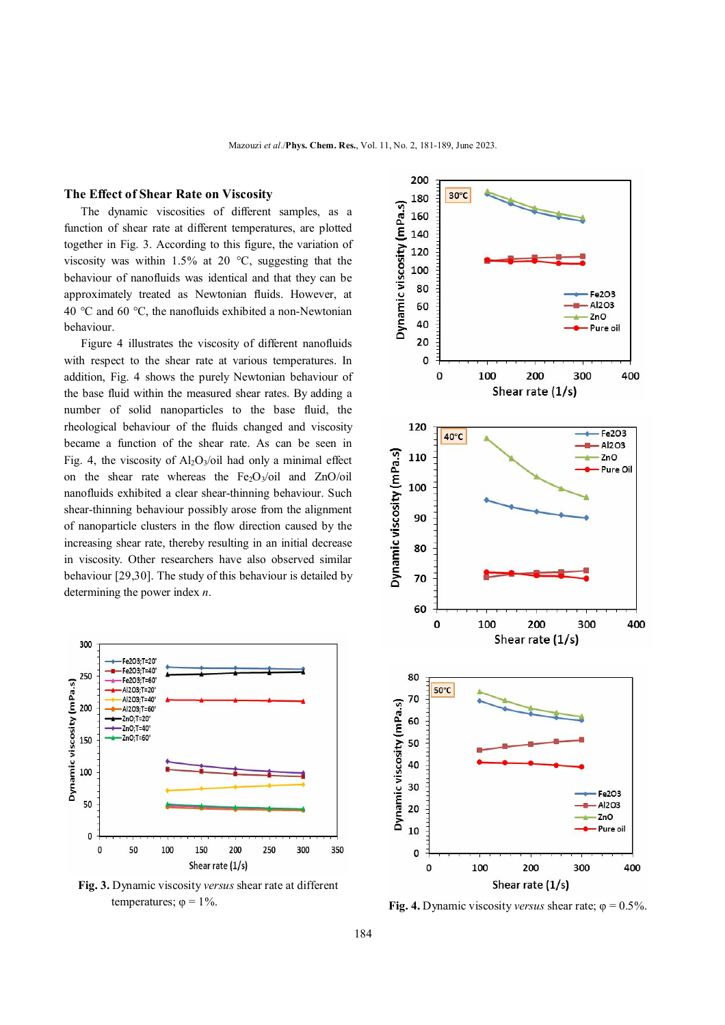### **The Effect of Shear Rate on Viscosity**

The dynamic viscosities of different samples, as a function of shear rate at different temperatures, are plotted together in Fig. 3. According to this figure, the variation of viscosity was within 1.5% at 20  $^{\circ}$ C, suggesting that the behaviour of nanofluids was identical and that they can be approximately treated as Newtonian fluids. However, at 40 °C and 60 °C, the nanofluids exhibited a non-Newtonian behaviour.

 Figure 4 illustrates the viscosity of different nanofluids with respect to the shear rate at various temperatures. In addition, Fig. 4 shows the purely Newtonian behaviour of the base fluid within the measured shear rates. By adding a number of solid nanoparticles to the base fluid, the rheological behaviour of the fluids changed and viscosity became a function of the shear rate. As can be seen in Fig. 4, the viscosity of  $Al_2O_3$ /oil had only a minimal effect on the shear rate whereas the  $Fe<sub>2</sub>O<sub>3</sub>/oil$  and ZnO/oil nanofluids exhibited a clear shear-thinning behaviour. Such shear-thinning behaviour possibly arose from the alignment of nanoparticle clusters in the flow direction caused by the increasing shear rate, thereby resulting in an initial decrease in viscosity. Other researchers have also observed similar behaviour [29,30]. The study of this behaviour is detailed by determining the power index *n*.



**Fig. 3.** Dynamic viscosity *versus* shear rate at different



temperatures;  $φ = 1%$ .<br>**Fig. 4.** Dynamic viscosity *versus* shear rate;  $φ = 0.5%$ .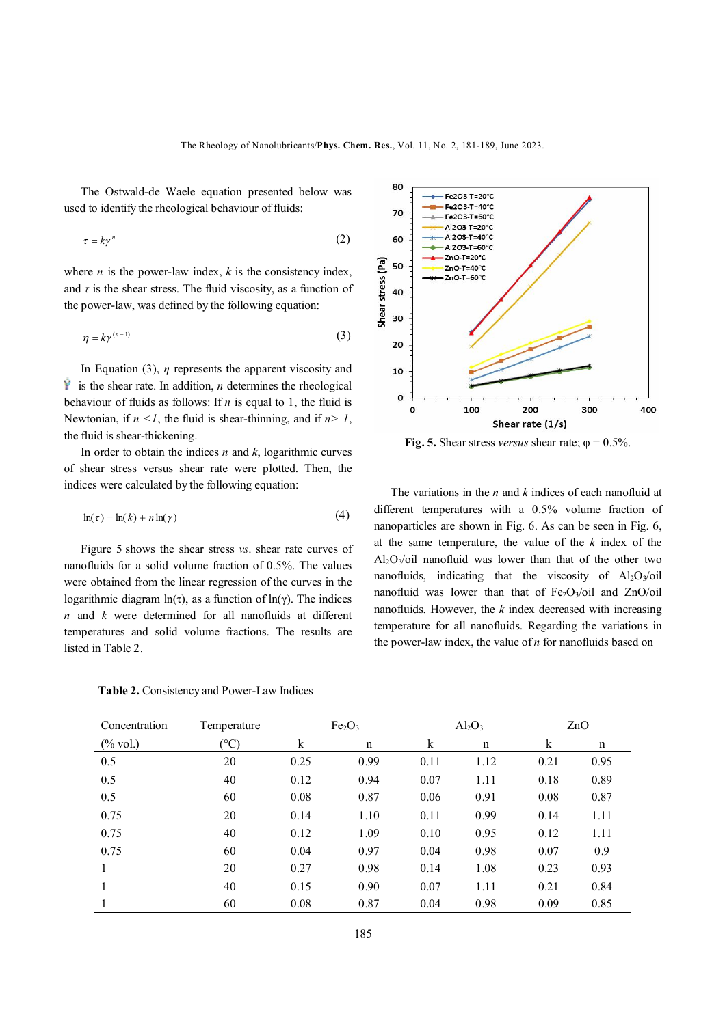The Ostwald-de Waele equation presented below was used to identify the rheological behaviour of fluids:

$$
\tau = k\gamma^n \tag{2}
$$

where  $n$  is the power-law index,  $k$  is the consistency index, and  $\tau$  is the shear stress. The fluid viscosity, as a function of the power-law, was defined by the following equation:

$$
\eta = k\gamma^{(n-1)}\tag{3}
$$

In Equation (3), *η* represents the apparent viscosity and  $\hat{Y}$  is the shear rate. In addition, *n* determines the rheological behaviour of fluids as follows: If *n* is equal to 1, the fluid is Newtonian, if  $n < 1$ , the fluid is shear-thinning, and if  $n > 1$ , the fluid is shear-thickening.

In order to obtain the indices *n* and *k*, logarithmic curves of shear stress versus shear rate were plotted. Then, the indices were calculated by the following equation:

$$
\ln(\tau) = \ln(k) + n \ln(\gamma) \tag{4}
$$

Figure 5 shows the shear stress *vs*. shear rate curves of nanofluids for a solid volume fraction of 0.5%. The values were obtained from the linear regression of the curves in the logarithmic diagram  $ln(\tau)$ , as a function of  $ln(\gamma)$ . The indices *n* and *k* were determined for all nanofluids at different temperatures and solid volume fractions. The results are listed in Table 2.

 **Table 2.** Consistency and Power-Law Indices



**Fig. 5.** Shear stress *versus* shear rate;  $\varphi = 0.5\%$ .

The variations in the *n* and *k* indices of each nanofluid at different temperatures with a 0.5% volume fraction of nanoparticles are shown in Fig. 6. As can be seen in Fig. 6, at the same temperature, the value of the *k* index of the Al<sub>2</sub>O<sub>3</sub>/oil nanofluid was lower than that of the other two nanofluids, indicating that the viscosity of  $Al_2O_3$ /oil nanofluid was lower than that of  $Fe<sub>2</sub>O<sub>3</sub>/oil$  and ZnO/oil nanofluids. However, the *k* index decreased with increasing temperature for all nanofluids. Regarding the variations in the power-law index, the value of *n* for nanofluids based on

| Concentration       | Temperature      | Fe <sub>2</sub> O <sub>3</sub> |      | $Al_2O_3$ |             | ZnO  |      |
|---------------------|------------------|--------------------------------|------|-----------|-------------|------|------|
| $(\% \text{ vol.})$ | $\rm ^{\circ}C)$ | k                              | n    | $\bf k$   | $\mathbf n$ | k    | n    |
| 0.5                 | 20               | 0.25                           | 0.99 | 0.11      | 1.12        | 0.21 | 0.95 |
| 0.5                 | 40               | 0.12                           | 0.94 | 0.07      | 1.11        | 0.18 | 0.89 |
| 0.5                 | 60               | 0.08                           | 0.87 | 0.06      | 0.91        | 0.08 | 0.87 |
| 0.75                | 20               | 0.14                           | 1.10 | 0.11      | 0.99        | 0.14 | 1.11 |
| 0.75                | 40               | 0.12                           | 1.09 | 0.10      | 0.95        | 0.12 | 1.11 |
| 0.75                | 60               | 0.04                           | 0.97 | 0.04      | 0.98        | 0.07 | 0.9  |
|                     | 20               | 0.27                           | 0.98 | 0.14      | 1.08        | 0.23 | 0.93 |
|                     | 40               | 0.15                           | 0.90 | 0.07      | 1.11        | 0.21 | 0.84 |
|                     | 60               | 0.08                           | 0.87 | 0.04      | 0.98        | 0.09 | 0.85 |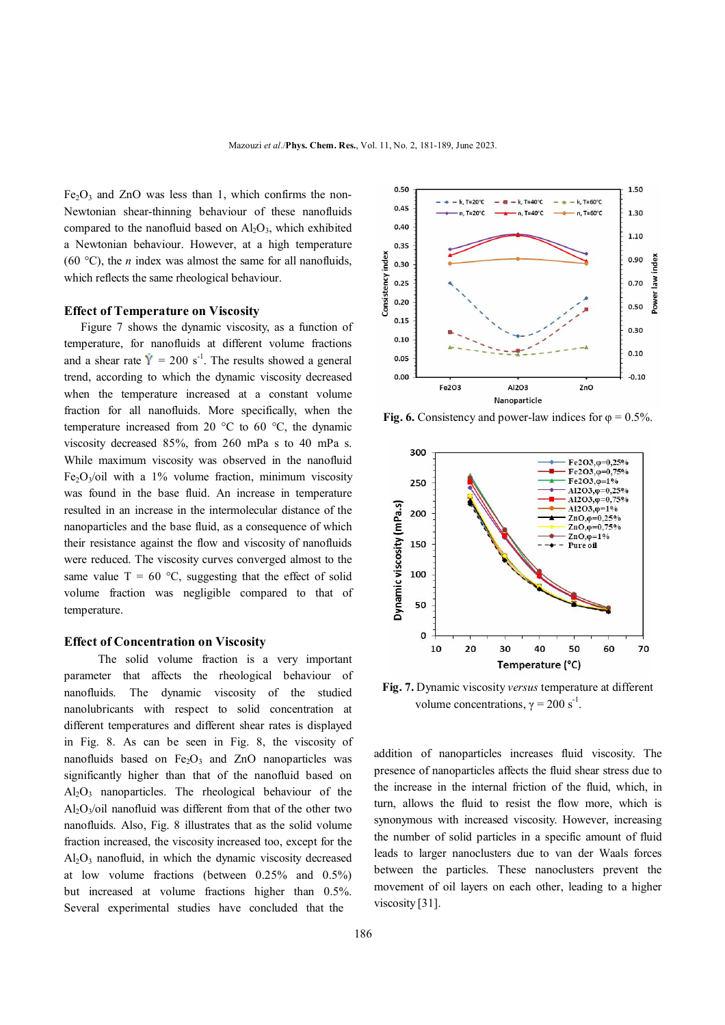$Fe<sub>2</sub>O<sub>3</sub>$  and ZnO was less than 1, which confirms the non-Newtonian shear-thinning behaviour of these nanofluids compared to the nanofluid based on  $\text{Al}_2\text{O}_3$ , which exhibited a Newtonian behaviour. However, at a high temperature (60 °C), the *n* index was almost the same for all nanofluids, which reflects the same rheological behaviour.

#### **Effect of Temperature on Viscosity**

Figure 7 shows the dynamic viscosity, as a function of temperature, for nanofluids at different volume fractions and a shear rate  $\dot{Y} = 200 \text{ s}^{-1}$ . The results showed a general trend, according to which the dynamic viscosity decreased when the temperature increased at a constant volume fraction for all nanofluids. More specifically, when the temperature increased from 20 °C to 60 °C, the dynamic viscosity decreased 85%, from 260 mPa s to 40 mPa s. While maximum viscosity was observed in the nanofluid Fe<sub>2</sub>O<sub>3</sub>/oil with a 1% volume fraction, minimum viscosity was found in the base fluid. An increase in temperature resulted in an increase in the intermolecular distance of the nanoparticles and the base fluid, as a consequence of which their resistance against the flow and viscosity of nanofluids were reduced. The viscosity curves converged almost to the same value  $T = 60$  °C, suggesting that the effect of solid volume fraction was negligible compared to that of temperature.

#### **Effect of Concentration on Viscosity**

 The solid volume fraction is a very important parameter that affects the rheological behaviour of nanofluids. The dynamic viscosity of the studied nanolubricants with respect to solid concentration at different temperatures and different shear rates is displayed in Fig. 8. As can be seen in Fig. 8, the viscosity of nanofluids based on  $Fe<sub>2</sub>O<sub>3</sub>$  and ZnO nanoparticles was significantly higher than that of the nanofluid based on  $Al<sub>2</sub>O<sub>3</sub>$  nanoparticles. The rheological behaviour of the  $Al_2O_3$ /oil nanofluid was different from that of the other two nanofluids. Also, Fig. 8 illustrates that as the solid volume fraction increased, the viscosity increased too, except for the Al2O3 nanofluid, in which the dynamic viscosity decreased at low volume fractions (between 0.25% and 0.5%) but increased at volume fractions higher than 0.5%. Several experimental studies have concluded that the



**Fig. 6.** Consistency and power-law indices for  $\varphi = 0.5\%$ .



**Fig. 7.** Dynamic viscosity *versus* temperature at different volume concentrations,  $\gamma = 200$  s<sup>-1</sup>.

addition of nanoparticles increases fluid viscosity. The presence of nanoparticles affects the fluid shear stress due to the increase in the internal friction of the fluid, which, in turn, allows the fluid to resist the flow more, which is synonymous with increased viscosity. However, increasing the number of solid particles in a specific amount of fluid leads to larger nanoclusters due to van der Waals forces between the particles. These nanoclusters prevent the movement of oil layers on each other, leading to a higher viscosity [31].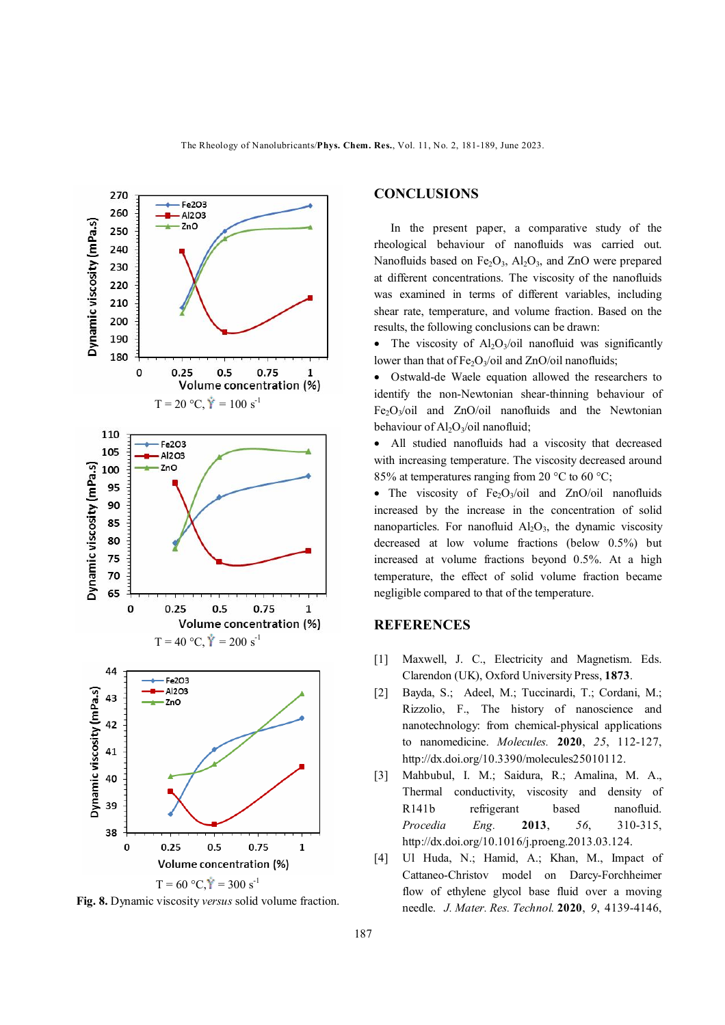

**Fig. 8.** Dynamic viscosity *versus* solid volume fraction.

## **CONCLUSIONS**

In the present paper, a comparative study of the rheological behaviour of nanofluids was carried out. Nanofluids based on Fe<sub>2</sub>O<sub>3</sub>, Al<sub>2</sub>O<sub>3</sub>, and ZnO were prepared at different concentrations. The viscosity of the nanofluids was examined in terms of different variables, including shear rate, temperature, and volume fraction. Based on the results, the following conclusions can be drawn:

• The viscosity of  $A<sub>1</sub>O<sub>3</sub>/oil$  nanofluid was significantly lower than that of  $Fe<sub>2</sub>O<sub>3</sub>/oil$  and ZnO/oil nanofluids;

 Ostwald-de Waele equation allowed the researchers to identify the non-Newtonian shear-thinning behaviour of  $Fe<sub>2</sub>O<sub>3</sub>/oil$  and  $ZnO/oil$  nanofluids and the Newtonian behaviour of  $Al_2O_3$ /oil nanofluid;

 All studied nanofluids had a viscosity that decreased with increasing temperature. The viscosity decreased around 85% at temperatures ranging from 20  $^{\circ}$ C to 60  $^{\circ}$ C;

• The viscosity of  $Fe<sub>2</sub>O<sub>3</sub>/oil$  and ZnO/oil nanofluids increased by the increase in the concentration of solid nanoparticles. For nanofluid  $Al_2O_3$ , the dynamic viscosity decreased at low volume fractions (below 0.5%) but increased at volume fractions beyond 0.5%. At a high temperature, the effect of solid volume fraction became negligible compared to that of the temperature.

## **REFERENCES**

- [1] Maxwell, J. C., Electricity and Magnetism. Eds. Clarendon (UK), Oxford University Press, **1873**.
- [2] Bayda, S.; Adeel, M.; Tuccinardi, T.; Cordani, M.; Rizzolio, F., The history of nanoscience and nanotechnology: from chemical-physical applications to nanomedicine. *Molecules.* **2020**, *25*, 112-127, http://dx.doi.org/10.3390/molecules25010112.
- [3] Mahbubul, I. M.; Saidura, R.; Amalina, M. A., Thermal conductivity, viscosity and density of R141b refrigerant based nanofluid. *Procedia Eng.* **2013**, *56*, 310-315, http://dx.doi.org/10.1016/j.proeng.2013.03.124.
- [4] Ul Huda, N.; Hamid, A.; Khan, M., Impact of Cattaneo-Christov model on Darcy-Forchheimer flow of ethylene glycol base fluid over a moving needle. *J. Mater. Res. Technol.* **2020**, *9*, 4139-4146,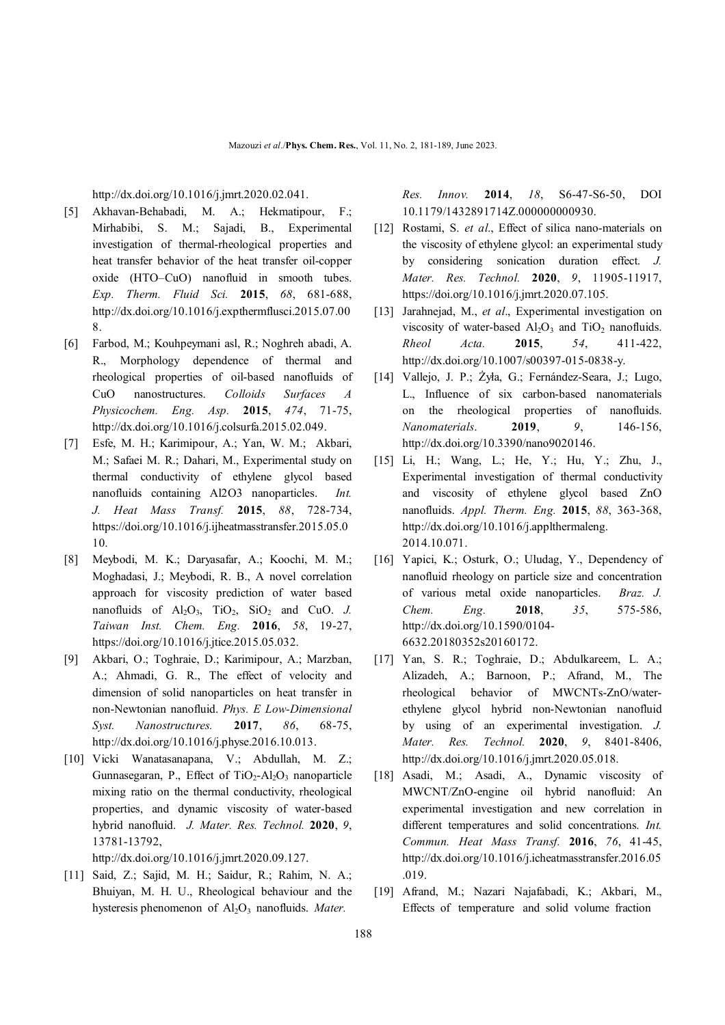http://dx.doi.org/10.1016/j.jmrt.2020.02.041.

- [5] Akhavan-Behabadi, M. A.; Hekmatipour, F.; Mirhabibi, S. M.; Sajadi, B., Experimental investigation of thermal-rheological properties and heat transfer behavior of the heat transfer oil-copper oxide (HTO–CuO) nanofluid in smooth tubes. *Exp. Therm. Fluid Sci.* **2015**, *68*, 681-688, http://dx.doi.org/10.1016/j.expthermflusci.2015.07.00 8.
- [6] Farbod, M.; Kouhpeymani asl, R.; Noghreh abadi, A. R., Morphology dependence of thermal and rheological properties of oil-based nanofluids of CuO nanostructures. *Colloids Surfaces A Physicochem. Eng. Asp.* **2015**, *474*, 71-75, http://dx.doi.org/10.1016/j.colsurfa.2015.02.049.
- [7] Esfe, M. H.; Karimipour, A.; Yan, W. M.; Akbari, M.; Safaei M. R.; Dahari, M., Experimental study on thermal conductivity of ethylene glycol based nanofluids containing Al2O3 nanoparticles. *Int. J. Heat Mass Transf.* **2015**, *88*, 728-734, https://doi.org/10.1016/j.ijheatmasstransfer.2015.05.0 10.
- [8] Meybodi, M. K.; Daryasafar, A.; Koochi, M. M.; Moghadasi, J.; Meybodi, R. B., A novel correlation approach for viscosity prediction of water based nanofluids of  $Al_2O_3$ ,  $TiO_2$ ,  $SiO_2$  and CuO. *J. Taiwan Inst. Chem. Eng.* **2016**, *58*, 19-27, https://doi.org/10.1016/j.jtice.2015.05.032.
- [9] Akbari, O.; Toghraie, D.; Karimipour, A.; Marzban, A.; Ahmadi, G. R., The effect of velocity and dimension of solid nanoparticles on heat transfer in non-Newtonian nanofluid. *Phys. E Low-Dimensional Syst. Nanostructures.* **2017**, *86*, 68-75, http://dx.doi.org/10.1016/j.physe.2016.10.013.
- [10] Vicki Wanatasanapana, V.; Abdullah, M. Z.; Gunnasegaran, P., Effect of  $TiO<sub>2</sub>-Al<sub>2</sub>O<sub>3</sub>$  nanoparticle mixing ratio on the thermal conductivity, rheological properties, and dynamic viscosity of water-based hybrid nanofluid. *J. Mater. Res. Technol.* **2020**, *9*, 13781-13792,

http://dx.doi.org/10.1016/j.jmrt.2020.09.127.

[11] Said, Z.; Sajid, M. H.; Saidur, R.; Rahim, N. A.; Bhuiyan, M. H. U., Rheological behaviour and the hysteresis phenomenon of Al<sub>2</sub>O<sub>3</sub> nanofluids. *Mater*.

*Res. Innov.* **2014**, *18*, S6-47-S6-50, DOI 10.1179/1432891714Z.000000000930.

- [12] Rostami, S. *et al*., Effect of silica nano-materials on the viscosity of ethylene glycol: an experimental study by considering sonication duration effect. *J. Mater. Res. Technol.* **2020**, *9*, 11905-11917, https://doi.org/10.1016/j.jmrt.2020.07.105.
- [13] Jarahnejad, M., *et al*., Experimental investigation on viscosity of water-based  $Al_2O_3$  and  $TiO_2$  nanofluids. *Rheol Acta.* **2015**, *54*, 411-422, http://dx.doi.org/10.1007/s00397-015-0838-y.
- [14] Vallejo, J. P.; Żyła, G.; Fernández-Seara, J.; Lugo, L., Influence of six carbon-based nanomaterials on the rheological properties of nanofluids. *Nanomaterials*. **2019**, *9*, 146-156, http://dx.doi.org/10.3390/nano9020146.
- [15] Li, H.; Wang, L.; He, Y.; Hu, Y.; Zhu, J., Experimental investigation of thermal conductivity and viscosity of ethylene glycol based ZnO nanofluids. *Appl. Therm. Eng.* **2015**, *88*, 363-368, http://dx.doi.org/10.1016/j.applthermaleng. 2014.10.071.
- [16] Yapici, K.; Osturk, O.; Uludag, Y., Dependency of nanofluid rheology on particle size and concentration of various metal oxide nanoparticles. *Braz. J. Chem. Eng.* **2018**, *35*, 575-586, http://dx.doi.org/10.1590/0104- 6632.20180352s20160172.
- [17] Yan, S. R.; Toghraie, D.; Abdulkareem, L. A.; Alizadeh, A.; Barnoon, P.; Afrand, M., The rheological behavior of MWCNTs-ZnO/waterethylene glycol hybrid non-Newtonian nanofluid by using of an experimental investigation. *J. Mater. Res. Technol.* **2020**, *9*, 8401-8406, http://dx.doi.org/10.1016/j.jmrt.2020.05.018.
- [18] Asadi, M.; Asadi, A., Dynamic viscosity of MWCNT/ZnO-engine oil hybrid nanofluid: An experimental investigation and new correlation in different temperatures and solid concentrations. *Int. Commun. Heat Mass Transf.* **2016**, *76*, 41-45, http://dx.doi.org/10.1016/j.icheatmasstransfer.2016.05 .019.
- [19] Afrand, M.; Nazari Najafabadi, K.; Akbari, M., Effects of temperature and solid volume fraction